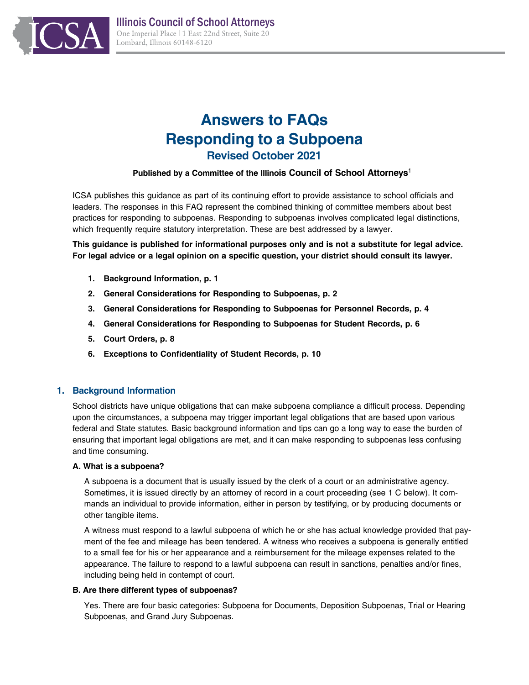

# **Answers to FAQs Responding to a Subpoena Revised October 2021**

## **Published by a Committee of the Illinois Council of School Attorneys**<sup>1</sup>

ICSA publishes this guidance as part of its continuing effort to provide assistance to school officials and leaders. The responses in this FAQ represent the combined thinking of committee members about best practices for responding to subpoenas. Responding to subpoenas involves complicated legal distinctions, which frequently require statutory interpretation. These are best addressed by a lawyer.

**This guidance is published for informational purposes only and is not a substitute for legal advice. For legal advice or a legal opinion on a specific question, your district should consult its lawyer.**

- **1. Background Information, p. 1**
- **2. General Considerations for Responding to Subpoenas, p. 2**
- **3. General Considerations for Responding to Subpoenas for Personnel Records, p. 4**
- **4. General Considerations for Responding to Subpoenas for Student Records, p. 6**
- **5. Court Orders, p. 8**
- **6. Exceptions to Confidentiality of Student Records, p. 10**

# **1. Background Information**

School districts have unique obligations that can make subpoena compliance a difficult process. Depending upon the circumstances, a subpoena may trigger important legal obligations that are based upon various federal and State statutes. Basic background information and tips can go a long way to ease the burden of ensuring that important legal obligations are met, and it can make responding to subpoenas less confusing and time consuming.

## **A. What is a subpoena?**

A subpoena is a document that is usually issued by the clerk of a court or an administrative agency. Sometimes, it is issued directly by an attorney of record in a court proceeding (see 1 C below). It commands an individual to provide information, either in person by testifying, or by producing documents or other tangible items.

A witness must respond to a lawful subpoena of which he or she has actual knowledge provided that payment of the fee and mileage has been tendered. A witness who receives a subpoena is generally entitled to a small fee for his or her appearance and a reimbursement for the mileage expenses related to the appearance. The failure to respond to a lawful subpoena can result in sanctions, penalties and/or fines, including being held in contempt of court.

## **B. Are there different types of subpoenas?**

Yes. There are four basic categories: Subpoena for Documents, Deposition Subpoenas, Trial or Hearing Subpoenas, and Grand Jury Subpoenas.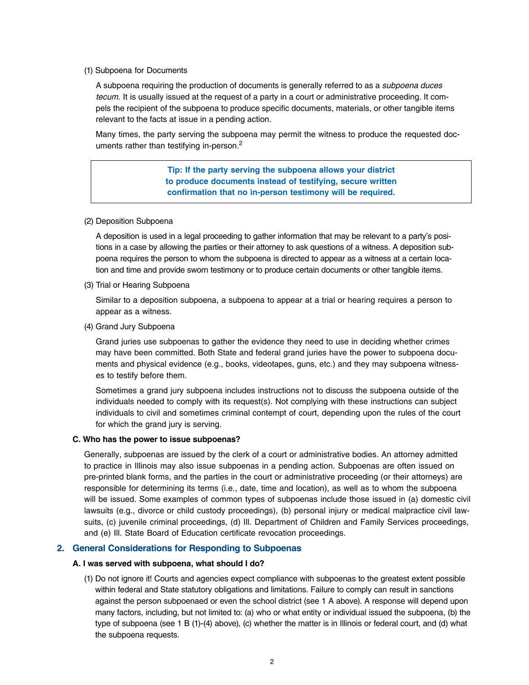#### (1) Subpoena for Documents

A subpoena requiring the production of documents is generally referred to as a *subpoena duces tecum*. It is usually issued at the request of a party in a court or administrative proceeding. It compels the recipient of the subpoena to produce specific documents, materials, or other tangible items relevant to the facts at issue in a pending action.

Many times, the party serving the subpoena may permit the witness to produce the requested documents rather than testifying in-person.<sup>2</sup>

> **Tip: If the party serving the subpoena allows your district to produce documents instead of testifying, secure written confirmation that no in-person testimony will be required.**

#### (2) Deposition Subpoena

A deposition is used in a legal proceeding to gather information that may be relevant to a party's positions in a case by allowing the parties or their attorney to ask questions of a witness. A deposition subpoena requires the person to whom the subpoena is directed to appear as a witness at a certain location and time and provide sworn testimony or to produce certain documents or other tangible items.

(3) Trial or Hearing Subpoena

Similar to a deposition subpoena, a subpoena to appear at a trial or hearing requires a person to appear as a witness.

(4) Grand Jury Subpoena

Grand juries use subpoenas to gather the evidence they need to use in deciding whether crimes may have been committed. Both State and federal grand juries have the power to subpoena documents and physical evidence (e.g., books, videotapes, guns, etc.) and they may subpoena witnesses to testify before them.

Sometimes a grand jury subpoena includes instructions not to discuss the subpoena outside of the individuals needed to comply with its request(s). Not complying with these instructions can subject individuals to civil and sometimes criminal contempt of court, depending upon the rules of the court for which the grand jury is serving.

#### **C. Who has the power to issue subpoenas?**

Generally, subpoenas are issued by the clerk of a court or administrative bodies. An attorney admitted to practice in Illinois may also issue subpoenas in a pending action. Subpoenas are often issued on pre-printed blank forms, and the parties in the court or administrative proceeding (or their attorneys) are responsible for determining its terms (i.e., date, time and location), as well as to whom the subpoena will be issued. Some examples of common types of subpoenas include those issued in (a) domestic civil lawsuits (e.g., divorce or child custody proceedings), (b) personal injury or medical malpractice civil lawsuits, (c) juvenile criminal proceedings, (d) Ill. Department of Children and Family Services proceedings, and (e) Ill. State Board of Education certificate revocation proceedings.

#### **2. General Considerations for Responding to Subpoenas**

#### **A. I was served with subpoena, what should I do?**

(1) Do not ignore it! Courts and agencies expect compliance with subpoenas to the greatest extent possible within federal and State statutory obligations and limitations. Failure to comply can result in sanctions against the person subpoenaed or even the school district (see 1 A above). A response will depend upon many factors, including, but not limited to: (a) who or what entity or individual issued the subpoena, (b) the type of subpoena (see 1 B (1)-(4) above), (c) whether the matter is in Illinois or federal court, and (d) what the subpoena requests.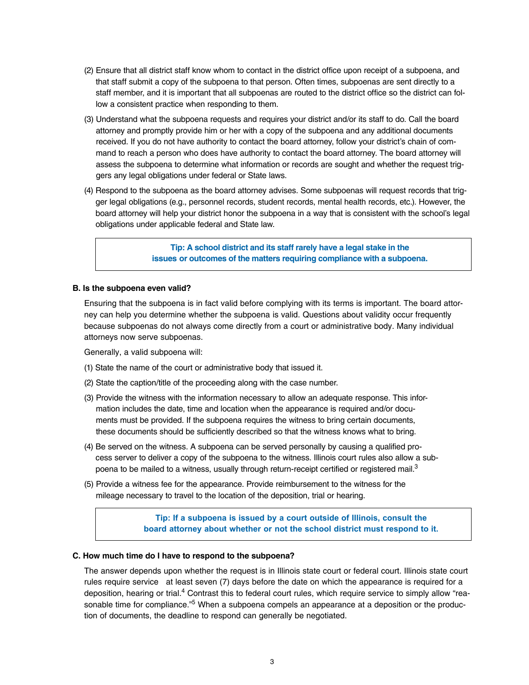- (2) Ensure that all district staff know whom to contact in the district office upon receipt of a subpoena, and that staff submit a copy of the subpoena to that person. Often times, subpoenas are sent directly to a staff member, and it is important that all subpoenas are routed to the district office so the district can follow a consistent practice when responding to them.
- (3) Understand what the subpoena requests and requires your district and/or its staff to do. Call the board attorney and promptly provide him or her with a copy of the subpoena and any additional documents received. If you do not have authority to contact the board attorney, follow your district's chain of command to reach a person who does have authority to contact the board attorney. The board attorney will assess the subpoena to determine what information or records are sought and whether the request triggers any legal obligations under federal or State laws.
- (4) Respond to the subpoena as the board attorney advises. Some subpoenas will request records that trigger legal obligations (e.g., personnel records, student records, mental health records, etc.). However, the board attorney will help your district honor the subpoena in a way that is consistent with the school's legal obligations under applicable federal and State law.

**Tip: A school district and its staff rarely have a legal stake in the issues or outcomes of the matters requiring compliance with a subpoena.**

#### **B. Is the subpoena even valid?**

Ensuring that the subpoena is in fact valid before complying with its terms is important. The board attorney can help you determine whether the subpoena is valid. Questions about validity occur frequently because subpoenas do not always come directly from a court or administrative body. Many individual attorneys now serve subpoenas.

Generally, a valid subpoena will:

- (1) State the name of the court or administrative body that issued it.
- (2) State the caption/title of the proceeding along with the case number.
- (3) Provide the witness with the information necessary to allow an adequate response. This information includes the date, time and location when the appearance is required and/or documents must be provided. If the subpoena requires the witness to bring certain documents, these documents should be sufficiently described so that the witness knows what to bring.
- (4) Be served on the witness. A subpoena can be served personally by causing a qualified process server to deliver a copy of the subpoena to the witness. Illinois court rules also allow a subpoena to be mailed to a witness, usually through return-receipt certified or registered mail.<sup>3</sup>
- (5) Provide a witness fee for the appearance. Provide reimbursement to the witness for the mileage necessary to travel to the location of the deposition, trial or hearing.

**Tip: If a subpoena is issued by a court outside of Illinois, consult the board attorney about whether or not the school district must respond to it.**

#### **C. How much time do I have to respond to the subpoena?**

The answer depends upon whether the request is in Illinois state court or federal court. Illinois state court rules require service at least seven (7) days before the date on which the appearance is required for a deposition, hearing or trial.<sup>4</sup> Contrast this to federal court rules, which require service to simply allow "reasonable time for compliance."<sup>5</sup> When a subpoena compels an appearance at a deposition or the production of documents, the deadline to respond can generally be negotiated.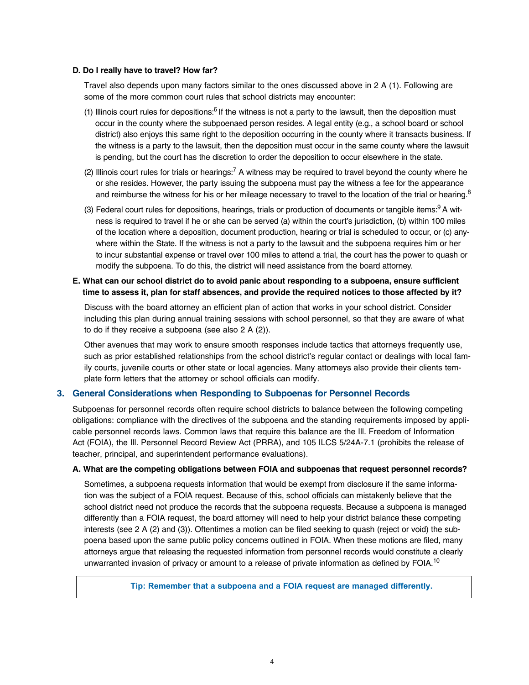#### **D. Do I really have to travel? How far?**

Travel also depends upon many factors similar to the ones discussed above in 2 A (1). Following are some of the more common court rules that school districts may encounter:

- (1) Illinois court rules for depositions: $6$  If the witness is not a party to the lawsuit, then the deposition must occur in the county where the subpoenaed person resides. A legal entity (e.g., a school board or school district) also enjoys this same right to the deposition occurring in the county where it transacts business. If the witness is a party to the lawsuit, then the deposition must occur in the same county where the lawsuit is pending, but the court has the discretion to order the deposition to occur elsewhere in the state.
- (2) Illinois court rules for trials or hearings:7 A witness may be required to travel beyond the county where he or she resides. However, the party issuing the subpoena must pay the witness a fee for the appearance and reimburse the witness for his or her mileage necessary to travel to the location of the trial or hearing. $8$
- (3) Federal court rules for depositions, hearings, trials or production of documents or tangible items: $9A$  witness is required to travel if he or she can be served (a) within the court's jurisdiction, (b) within 100 miles of the location where a deposition, document production, hearing or trial is scheduled to occur, or (c) anywhere within the State. If the witness is not a party to the lawsuit and the subpoena requires him or her to incur substantial expense or travel over 100 miles to attend a trial, the court has the power to quash or modify the subpoena. To do this, the district will need assistance from the board attorney.
- **E. What can our school district do to avoid panic about responding to a subpoena, ensure sufficient time to assess it, plan for staff absences, and provide the required notices to those affected by it?**

Discuss with the board attorney an efficient plan of action that works in your school district. Consider including this plan during annual training sessions with school personnel, so that they are aware of what to do if they receive a subpoena (see also 2 A (2)).

Other avenues that may work to ensure smooth responses include tactics that attorneys frequently use, such as prior established relationships from the school district's regular contact or dealings with local family courts, juvenile courts or other state or local agencies. Many attorneys also provide their clients template form letters that the attorney or school officials can modify.

#### **3. General Considerations when Responding to Subpoenas for Personnel Records**

Subpoenas for personnel records often require school districts to balance between the following competing obligations: compliance with the directives of the subpoena and the standing requirements imposed by applicable personnel records laws. Common laws that require this balance are the Ill. Freedom of Information Act (FOIA), the Ill. Personnel Record Review Act (PRRA), and 105 ILCS 5/24A-7.1 (prohibits the release of teacher, principal, and superintendent performance evaluations).

#### **A. What are the competing obligations between FOIA and subpoenas that request personnel records?**

Sometimes, a subpoena requests information that would be exempt from disclosure if the same information was the subject of a FOIA request. Because of this, school officials can mistakenly believe that the school district need not produce the records that the subpoena requests. Because a subpoena is managed differently than a FOIA request, the board attorney will need to help your district balance these competing interests (see 2 A (2) and (3)). Oftentimes a motion can be filed seeking to quash (reject or void) the subpoena based upon the same public policy concerns outlined in FOIA. When these motions are filed, many attorneys argue that releasing the requested information from personnel records would constitute a clearly unwarranted invasion of privacy or amount to a release of private information as defined by FOIA.<sup>10</sup>

**Tip: Remember that a subpoena and a FOIA request are managed differently.**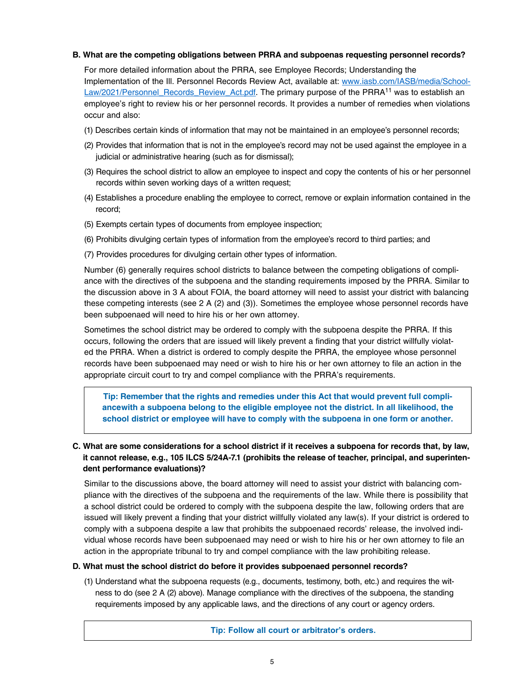## **B. What are the competing obligations between PRRA and subpoenas requesting personnel records?**

For more detailed information about the PRRA, see Employee Records; Understanding the Implementation of the Ill. Personnel Records Review Act, available at: [www.iasb.com/IASB/media/School-](http://www.iasb.com/IASB/media/School-Law/2021/Personnel_Records_Review_Act.pdf)Law/2021/Personnel Records Review Act.pdf. The primary purpose of the PRRA<sup>11</sup> was to establish an employee's right to review his or her personnel records. It provides a number of remedies when violations occur and also:

- (1) Describes certain kinds of information that may not be maintained in an employee's personnel records;
- (2) Provides that information that is not in the employee's record may not be used against the employee in a judicial or administrative hearing (such as for dismissal);
- (3) Requires the school district to allow an employee to inspect and copy the contents of his or her personnel records within seven working days of a written request;
- (4) Establishes a procedure enabling the employee to correct, remove or explain information contained in the record;
- (5) Exempts certain types of documents from employee inspection;
- (6) Prohibits divulging certain types of information from the employee's record to third parties; and
- (7) Provides procedures for divulging certain other types of information.

Number (6) generally requires school districts to balance between the competing obligations of compliance with the directives of the subpoena and the standing requirements imposed by the PRRA. Similar to the discussion above in 3 A about FOIA, the board attorney will need to assist your district with balancing these competing interests (see 2 A (2) and (3)). Sometimes the employee whose personnel records have been subpoenaed will need to hire his or her own attorney.

Sometimes the school district may be ordered to comply with the subpoena despite the PRRA. If this occurs, following the orders that are issued will likely prevent a finding that your district willfully violated the PRRA. When a district is ordered to comply despite the PRRA, the employee whose personnel records have been subpoenaed may need or wish to hire his or her own attorney to file an action in the appropriate circuit court to try and compel compliance with the PRRA's requirements.

**Tip: Remember that the rights and remedies under this Act that would prevent full compliance with a subpoena belong to the eligible employee not the district. In all likelihood, the school district or employee will have to comply with the subpoena in one form or another.**

# **C. What are some considerations for a school district if it receives a subpoena for records that, by law, it cannot release, e.g., 105 ILCS 5/24A-7.1 (prohibits the release of teacher, principal, and superintendent performance evaluations)?**

Similar to the discussions above, the board attorney will need to assist your district with balancing compliance with the directives of the subpoena and the requirements of the law. While there is possibility that a school district could be ordered to comply with the subpoena despite the law, following orders that are issued will likely prevent a finding that your district willfully violated any law(s). If your district is ordered to comply with a subpoena despite a law that prohibits the subpoenaed records' release, the involved individual whose records have been subpoenaed may need or wish to hire his or her own attorney to file an action in the appropriate tribunal to try and compel compliance with the law prohibiting release.

## **D. What must the school district do before it provides subpoenaed personnel records?**

(1) Understand what the subpoena requests (e.g., documents, testimony, both, etc.) and requires the witness to do (see 2 A (2) above). Manage compliance with the directives of the subpoena, the standing requirements imposed by any applicable laws, and the directions of any court or agency orders.

**Tip: Follow all court or arbitrator's orders.**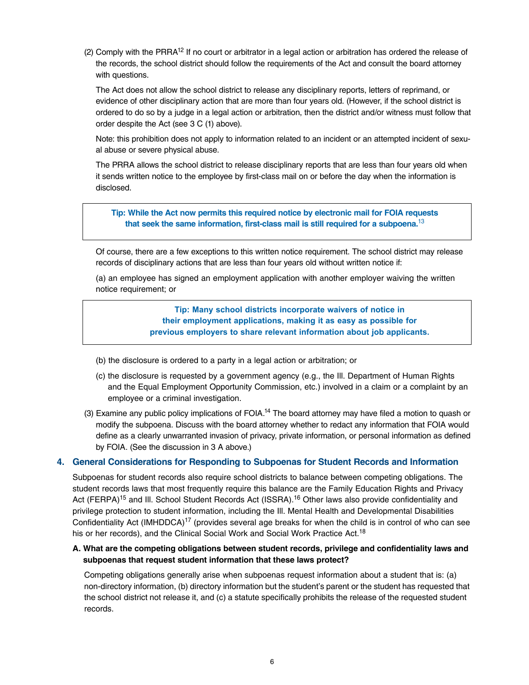(2) Comply with the PRRA<sup>12</sup> If no court or arbitrator in a legal action or arbitration has ordered the release of the records, the school district should follow the requirements of the Act and consult the board attorney with questions.

The Act does not allow the school district to release any disciplinary reports, letters of reprimand, or evidence of other disciplinary action that are more than four years old. (However, if the school district is ordered to do so by a judge in a legal action or arbitration, then the district and/or witness must follow that order despite the Act (see 3 C (1) above).

Note: this prohibition does not apply to information related to an incident or an attempted incident of sexual abuse or severe physical abuse.

The PRRA allows the school district to release disciplinary reports that are less than four years old when it sends written notice to the employee by first-class mail on or before the day when the information is disclosed.

**Tip: While the Act now permits this required notice by electronic mail for FOIA requests that seek the same information, first-class mail is still required for a subpoena.**<sup>13</sup>

Of course, there are a few exceptions to this written notice requirement. The school district may release records of disciplinary actions that are less than four years old without written notice if:

(a) an employee has signed an employment application with another employer waiving the written notice requirement; or

> **Tip: Many school districts incorporate waivers of notice in their employment applications, making it as easy as possible for previous employers to share relevant information about job applicants.**

- (b) the disclosure is ordered to a party in a legal action or arbitration; or
- (c) the disclosure is requested by a government agency (e.g., the Ill. Department of Human Rights and the Equal Employment Opportunity Commission, etc.) involved in a claim or a complaint by an employee or a criminal investigation.
- (3) Examine any public policy implications of FOIA.14 The board attorney may have filed a motion to quash or modify the subpoena. Discuss with the board attorney whether to redact any information that FOIA would define as a clearly unwarranted invasion of privacy, private information, or personal information as defined by FOIA. (See the discussion in 3 A above.)

## **4. General Considerations for Responding to Subpoenas for Student Records and Information**

Subpoenas for student records also require school districts to balance between competing obligations. The student records laws that most frequently require this balance are the Family Education Rights and Privacy Act (FERPA)<sup>15</sup> and III. School Student Records Act (ISSRA).<sup>16</sup> Other laws also provide confidentiality and privilege protection to student information, including the Ill. Mental Health and Developmental Disabilities Confidentiality Act (IMHDDCA)<sup>17</sup> (provides several age breaks for when the child is in control of who can see his or her records), and the Clinical Social Work and Social Work Practice Act.<sup>18</sup>

## **A. What are the competing obligations between student records, privilege and confidentiality laws and subpoenas that request student information that these laws protect?**

Competing obligations generally arise when subpoenas request information about a student that is: (a) non-directory information, (b) directory information but the student's parent or the student has requested that the school district not release it, and (c) a statute specifically prohibits the release of the requested student records.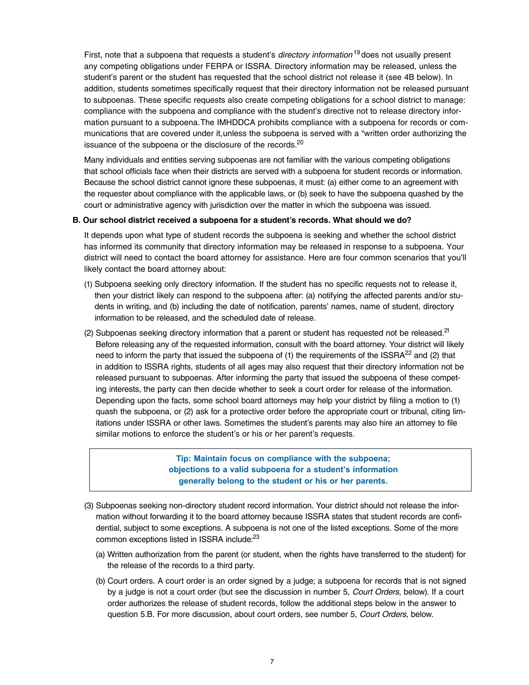First, note that a subpoena that requests a student's *directory information* <sup>19</sup> does not usually present any competing obligations under FERPA or ISSRA. Directory information may be released, unless the student's parent or the student has requested that the school district not release it (see 4B below). In addition, students sometimes specifically request that their directory information not be released pursuant to subpoenas. These specific requests also create competing obligations for a school district to manage: compliance with the subpoena and compliance with the student's directive not to release directory information pursuant to a subpoena. The IMHDDCA prohibits compliance with a subpoena for records or communications that are covered under it, unless the subpoena is served with a "written order authorizing the issuance of the subpoena or the disclosure of the records.<sup>20</sup>

Many individuals and entities serving subpoenas are not familiar with the various competing obligations that school officials face when their districts are served with a subpoena for student records or information. Because the school district cannot ignore these subpoenas, it must: (a) either come to an agreement with the requester about compliance with the applicable laws, or (b) seek to have the subpoena quashed by the court or administrative agency with jurisdiction over the matter in which the subpoena was issued.

#### **B. Our school district received a subpoena for a student's records. What should we do?**

It depends upon what type of student records the subpoena is seeking and whether the school district has informed its community that directory information may be released in response to a subpoena. Your district will need to contact the board attorney for assistance. Here are four common scenarios that you'll likely contact the board attorney about:

- (1) Subpoena seeking only directory information. If the student has no specific requests not to release it, then your district likely can respond to the subpoena after: (a) notifying the affected parents and/or students in writing, and (b) including the date of notification, parents' names, name of student, directory information to be released, and the scheduled date of release.
- (2) Subpoenas seeking directory information that a parent or student has requested not be released.<sup>21</sup> Before releasing any of the requested information, consult with the board attorney. Your district will likely need to inform the party that issued the subpoena of (1) the requirements of the ISSRA $^{22}$  and (2) that in addition to ISSRA rights, students of all ages may also request that their directory information not be released pursuant to subpoenas. After informing the party that issued the subpoena of these competing interests, the party can then decide whether to seek a court order for release of the information. Depending upon the facts, some school board attorneys may help your district by filing a motion to (1) quash the subpoena, or (2) ask for a protective order before the appropriate court or tribunal, citing limitations under ISSRA or other laws. Sometimes the student's parents may also hire an attorney to file similar motions to enforce the student's or his or her parent's requests.

**Tip: Maintain focus on compliance with the subpoena; objections to a valid subpoena for a student's information generally belong to the student or his or her parents.**

- (3) Subpoenas seeking non-directory student record information. Your district should not release the information without forwarding it to the board attorney because ISSRA states that student records are confidential, subject to some exceptions. A subpoena is not one of the listed exceptions. Some of the more common exceptions listed in ISSRA include:23
	- (a) Written authorization from the parent (or student, when the rights have transferred to the student) for the release of the records to a third party.
	- (b) Court orders. A court order is an order signed by a judge; a subpoena for records that is not signed by a judge is not a court order (but see the discussion in number 5, *Court Orders*, below). If a court order authorizes the release of student records, follow the additional steps below in the answer to question 5.B. For more discussion, about court orders, see number 5, *Court Orders*, below.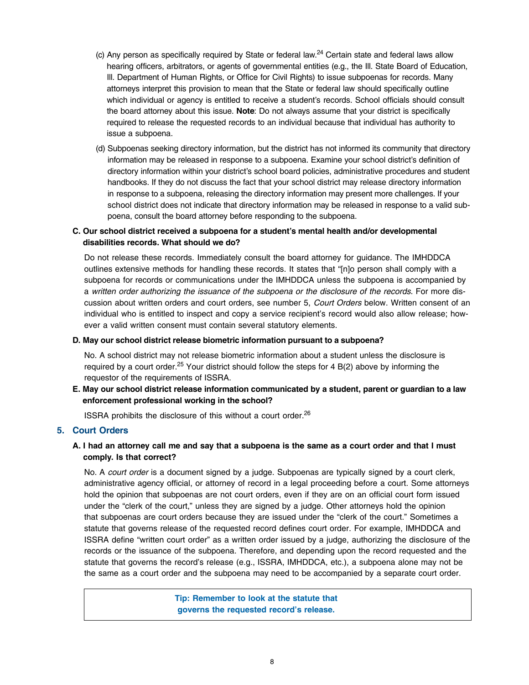- (c) Any person as specifically required by State or federal law.<sup>24</sup> Certain state and federal laws allow hearing officers, arbitrators, or agents of governmental entities (e.g., the Ill. State Board of Education, Ill. Department of Human Rights, or Office for Civil Rights) to issue subpoenas for records. Many attorneys interpret this provision to mean that the State or federal law should specifically outline which individual or agency is entitled to receive a student's records. School officials should consult the board attorney about this issue. **Note**: Do not always assume that your district is specifically required to release the requested records to an individual because that individual has authority to issue a subpoena.
- (d) Subpoenas seeking directory information, but the district has not informed its community that directory information may be released in response to a subpoena. Examine your school district's definition of directory information within your district's school board policies, administrative procedures and student handbooks. If they do not discuss the fact that your school district may release directory information in response to a subpoena, releasing the directory information may present more challenges. If your school district does not indicate that directory information may be released in response to a valid subpoena, consult the board attorney before responding to the subpoena.

## **C. Our school district received a subpoena for a student's mental health and/or developmental disabilities records. What should we do?**

Do not release these records. Immediately consult the board attorney for guidance. The IMHDDCA outlines extensive methods for handling these records. It states that "[n]o person shall comply with a subpoena for records or communications under the IMHDDCA unless the subpoena is accompanied by a *written order authorizing the issuance of the subpoena or the disclosure of the records*. For more discussion about written orders and court orders, see number 5, *Court Orders* below. Written consent of an individual who is entitled to inspect and copy a service recipient's record would also allow release; however a valid written consent must contain several statutory elements.

#### **D. May our school district release biometric information pursuant to a subpoena?**

No. A school district may not release biometric information about a student unless the disclosure is required by a court order.<sup>25</sup> Your district should follow the steps for 4 B(2) above by informing the requestor of the requirements of ISSRA.

**E. May our school district release information communicated by a student, parent or guardian to a law enforcement professional working in the school?**

ISSRA prohibits the disclosure of this without a court order.26

## **5. Court Orders**

## **A. I had an attorney call me and say that a subpoena is the same as a court order and that I must comply. Is that correct?**

No. A *court order* is a document signed by a judge. Subpoenas are typically signed by a court clerk, administrative agency official, or attorney of record in a legal proceeding before a court. Some attorneys hold the opinion that subpoenas are not court orders, even if they are on an official court form issued under the "clerk of the court," unless they are signed by a judge. Other attorneys hold the opinion that subpoenas are court orders because they are issued under the "clerk of the court." Sometimes a statute that governs release of the requested record defines court order. For example, IMHDDCA and ISSRA define "written court order" as a written order issued by a judge, authorizing the disclosure of the records or the issuance of the subpoena. Therefore, and depending upon the record requested and the statute that governs the record's release (e.g., ISSRA, IMHDDCA, etc.), a subpoena alone may not be the same as a court order and the subpoena may need to be accompanied by a separate court order.

> **Tip: Remember to look at the statute that governs the requested record's release.**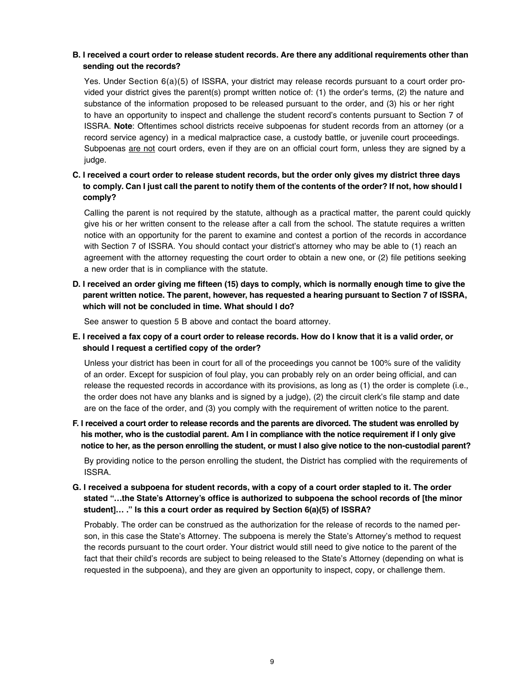## **B. I received a court order to release student records. Are there any additional requirements other than sending out the records?**

Yes. Under Section 6(a)(5) of ISSRA, your district may release records pursuant to a court order provided your district gives the parent(s) prompt written notice of: (1) the order's terms, (2) the nature and substance of the information proposed to be released pursuant to the order, and (3) his or her right to have an opportunity to inspect and challenge the student record's contents pursuant to Section 7 of ISSRA. **Note**: Oftentimes school districts receive subpoenas for student records from an attorney (or a record service agency) in a medical malpractice case, a custody battle, or juvenile court proceedings. Subpoenas are not court orders, even if they are on an official court form, unless they are signed by a judge.

# **C. I received a court order to release student records, but the order only gives my district three days to comply. Can I just call the parent to notify them of the contents of the order? If not, how should I comply?**

Calling the parent is not required by the statute, although as a practical matter, the parent could quickly give his or her written consent to the release after a call from the school. The statute requires a written notice with an opportunity for the parent to examine and contest a portion of the records in accordance with Section 7 of ISSRA. You should contact your district's attorney who may be able to (1) reach an agreement with the attorney requesting the court order to obtain a new one, or (2) file petitions seeking a new order that is in compliance with the statute.

**D. I received an order giving me fifteen (15) days to comply, which is normally enough time to give the parent written notice. The parent, however, has requested a hearing pursuant to Section 7 of ISSRA, which will not be concluded in time. What should I do?**

See answer to question 5 B above and contact the board attorney.

**E. I received a fax copy of a court order to release records. How do I know that it is a valid order, or should I request a certified copy of the order?**

Unless your district has been in court for all of the proceedings you cannot be 100% sure of the validity of an order. Except for suspicion of foul play, you can probably rely on an order being official, and can release the requested records in accordance with its provisions, as long as (1) the order is complete (i.e., the order does not have any blanks and is signed by a judge), (2) the circuit clerk's file stamp and date are on the face of the order, and (3) you comply with the requirement of written notice to the parent.

**F. I received a court order to release records and the parents are divorced. The student was enrolled by his mother, who is the custodial parent. Am I in compliance with the notice requirement if I only give notice to her, as the person enrolling the student, or must I also give notice to the non-custodial parent?**

By providing notice to the person enrolling the student, the District has complied with the requirements of ISSRA.

# **G. I received a subpoena for student records, with a copy of a court order stapled to it. The order stated "…the State's Attorney's office is authorized to subpoena the school records of [the minor student]… ." Is this a court order as required by Section 6(a)(5) of ISSRA?**

Probably. The order can be construed as the authorization for the release of records to the named person, in this case the State's Attorney. The subpoena is merely the State's Attorney's method to request the records pursuant to the court order. Your district would still need to give notice to the parent of the fact that their child's records are subject to being released to the State's Attorney (depending on what is requested in the subpoena), and they are given an opportunity to inspect, copy, or challenge them.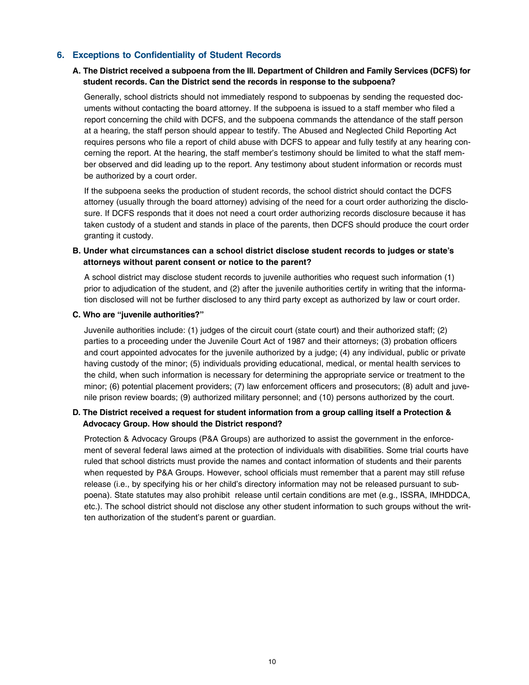## **6. Exceptions to Confidentiality of Student Records**

## **A. The District received a subpoena from the Ill. Department of Children and Family Services (DCFS) for student records. Can the District send the records in response to the subpoena?**

Generally, school districts should not immediately respond to subpoenas by sending the requested documents without contacting the board attorney. If the subpoena is issued to a staff member who filed a report concerning the child with DCFS, and the subpoena commands the attendance of the staff person at a hearing, the staff person should appear to testify. The Abused and Neglected Child Reporting Act requires persons who file a report of child abuse with DCFS to appear and fully testify at any hearing concerning the report. At the hearing, the staff member's testimony should be limited to what the staff member observed and did leading up to the report. Any testimony about student information or records must be authorized by a court order.

If the subpoena seeks the production of student records, the school district should contact the DCFS attorney (usually through the board attorney) advising of the need for a court order authorizing the disclosure. If DCFS responds that it does not need a court order authorizing records disclosure because it has taken custody of a student and stands in place of the parents, then DCFS should produce the court order granting it custody.

## **B. Under what circumstances can a school district disclose student records to judges or state's attorneys without parent consent or notice to the parent?**

A school district may disclose student records to juvenile authorities who request such information (1) prior to adjudication of the student, and (2) after the juvenile authorities certify in writing that the information disclosed will not be further disclosed to any third party except as authorized by law or court order.

#### **C. Who are "juvenile authorities?"**

Juvenile authorities include: (1) judges of the circuit court (state court) and their authorized staff; (2) parties to a proceeding under the Juvenile Court Act of 1987 and their attorneys; (3) probation officers and court appointed advocates for the juvenile authorized by a judge; (4) any individual, public or private having custody of the minor; (5) individuals providing educational, medical, or mental health services to the child, when such information is necessary for determining the appropriate service or treatment to the minor; (6) potential placement providers; (7) law enforcement officers and prosecutors; (8) adult and juvenile prison review boards; (9) authorized military personnel; and (10) persons authorized by the court.

## **D. The District received a request for student information from a group calling itself a Protection & Advocacy Group. How should the District respond?**

Protection & Advocacy Groups (P&A Groups) are authorized to assist the government in the enforcement of several federal laws aimed at the protection of individuals with disabilities. Some trial courts have ruled that school districts must provide the names and contact information of students and their parents when requested by P&A Groups. However, school officials must remember that a parent may still refuse release (i.e., by specifying his or her child's directory information may not be released pursuant to subpoena). State statutes may also prohibit release until certain conditions are met (e.g., ISSRA, IMHDDCA, etc.). The school district should not disclose any other student information to such groups without the written authorization of the student's parent or guardian.